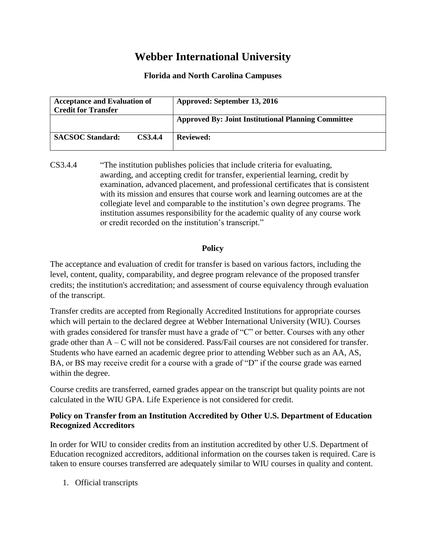## **Webber International University**

## **Florida and North Carolina Campuses**

| <b>Acceptance and Evaluation of</b><br><b>Credit for Transfer</b> | Approved: September 13, 2016                               |
|-------------------------------------------------------------------|------------------------------------------------------------|
|                                                                   | <b>Approved By: Joint Institutional Planning Committee</b> |
| <b>SACSOC Standard:</b><br><b>CS3.4.4</b>                         | <b>Reviewed:</b>                                           |

CS3.4.4 "The institution publishes policies that include criteria for evaluating, awarding, and accepting credit for transfer, experiential learning, credit by examination, advanced placement, and professional certificates that is consistent with its mission and ensures that course work and learning outcomes are at the collegiate level and comparable to the institution's own degree programs. The institution assumes responsibility for the academic quality of any course work or credit recorded on the institution's transcript."

## **Policy**

The acceptance and evaluation of credit for transfer is based on various factors, including the level, content, quality, comparability, and degree program relevance of the proposed transfer credits; the institution's accreditation; and assessment of course equivalency through evaluation of the transcript.

Transfer credits are accepted from Regionally Accredited Institutions for appropriate courses which will pertain to the declared degree at Webber International University (WIU). Courses with grades considered for transfer must have a grade of "C" or better. Courses with any other grade other than A – C will not be considered. Pass/Fail courses are not considered for transfer. Students who have earned an academic degree prior to attending Webber such as an AA, AS, BA, or BS may receive credit for a course with a grade of "D" if the course grade was earned within the degree.

Course credits are transferred, earned grades appear on the transcript but quality points are not calculated in the WIU GPA. Life Experience is not considered for credit.

## **Policy on Transfer from an Institution Accredited by Other U.S. Department of Education Recognized Accreditors**

In order for WIU to consider credits from an institution accredited by other U.S. Department of Education recognized accreditors, additional information on the courses taken is required. Care is taken to ensure courses transferred are adequately similar to WIU courses in quality and content.

1. Official transcripts